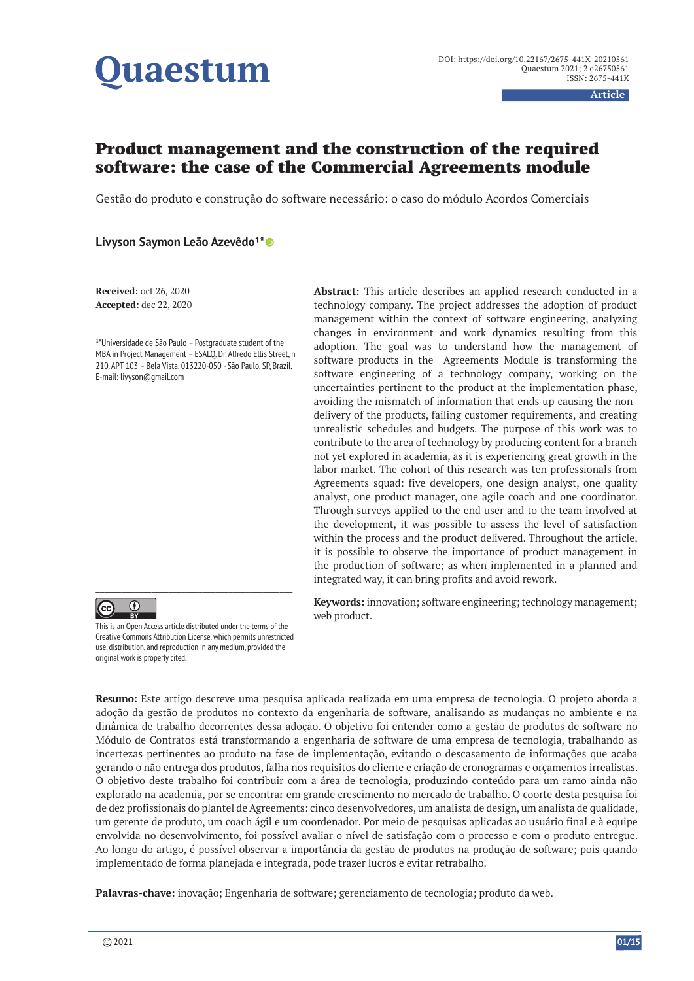# **Juaestum**

**Article**

# Product management and the construction of the required software: the case of the Commercial Agreements module

Gestão do produto e construção do software necessário: o caso do módulo Acordos Comerciais

# **Livyson Saymon Leão Azevêdo1\***

**Received:** oct 26, 2020 **Accepted:** dec 22, 2020

 $1*$ Universidade de São Paulo – Postgraduate student of the MBA in Project Management – ESALQ. Dr. Alfredo Ellis Street, n 210. APT 103 – Bela Vista, 013220-050 - São Paulo, SP, Brazil. E-mail: livyson@gmail.com



This is an Open Access article distributed under the terms of the Creative Commons Attribution License, which permits unrestricted use, distribution, and reproduction in any medium, provided the original work is properly cited.

**Abstract:** This article describes an applied research conducted in a technology company. The project addresses the adoption of product management within the context of software engineering, analyzing changes in environment and work dynamics resulting from this adoption. The goal was to understand how the management of software products in the Agreements Module is transforming the software engineering of a technology company, working on the uncertainties pertinent to the product at the implementation phase, avoiding the mismatch of information that ends up causing the nondelivery of the products, failing customer requirements, and creating unrealistic schedules and budgets. The purpose of this work was to contribute to the area of technology by producing content for a branch not yet explored in academia, as it is experiencing great growth in the labor market. The cohort of this research was ten professionals from Agreements squad: five developers, one design analyst, one quality analyst, one product manager, one agile coach and one coordinator. Through surveys applied to the end user and to the team involved at the development, it was possible to assess the level of satisfaction within the process and the product delivered. Throughout the article, it is possible to observe the importance of product management in the production of software; as when implemented in a planned and integrated way, it can bring profits and avoid rework.

**Keywords:** innovation; software engineering; technology management; web product.

**Resumo:** Este artigo descreve uma pesquisa aplicada realizada em uma empresa de tecnologia. O projeto aborda a adoção da gestão de produtos no contexto da engenharia de software, analisando as mudanças no ambiente e na dinâmica de trabalho decorrentes dessa adoção. O objetivo foi entender como a gestão de produtos de software no Módulo de Contratos está transformando a engenharia de software de uma empresa de tecnologia, trabalhando as incertezas pertinentes ao produto na fase de implementação, evitando o descasamento de informações que acaba gerando o não entrega dos produtos, falha nos requisitos do cliente e criação de cronogramas e orçamentos irrealistas. O objetivo deste trabalho foi contribuir com a área de tecnologia, produzindo conteúdo para um ramo ainda não explorado na academia, por se encontrar em grande crescimento no mercado de trabalho. O coorte desta pesquisa foi de dez profissionais do plantel de Agreements: cinco desenvolvedores, um analista de design, um analista de qualidade, um gerente de produto, um coach ágil e um coordenador. Por meio de pesquisas aplicadas ao usuário final e à equipe envolvida no desenvolvimento, foi possível avaliar o nível de satisfação com o processo e com o produto entregue. Ao longo do artigo, é possível observar a importância da gestão de produtos na produção de software; pois quando implementado de forma planejada e integrada, pode trazer lucros e evitar retrabalho.

**Palavras-chave:** inovação; Engenharia de software; gerenciamento de tecnologia; produto da web.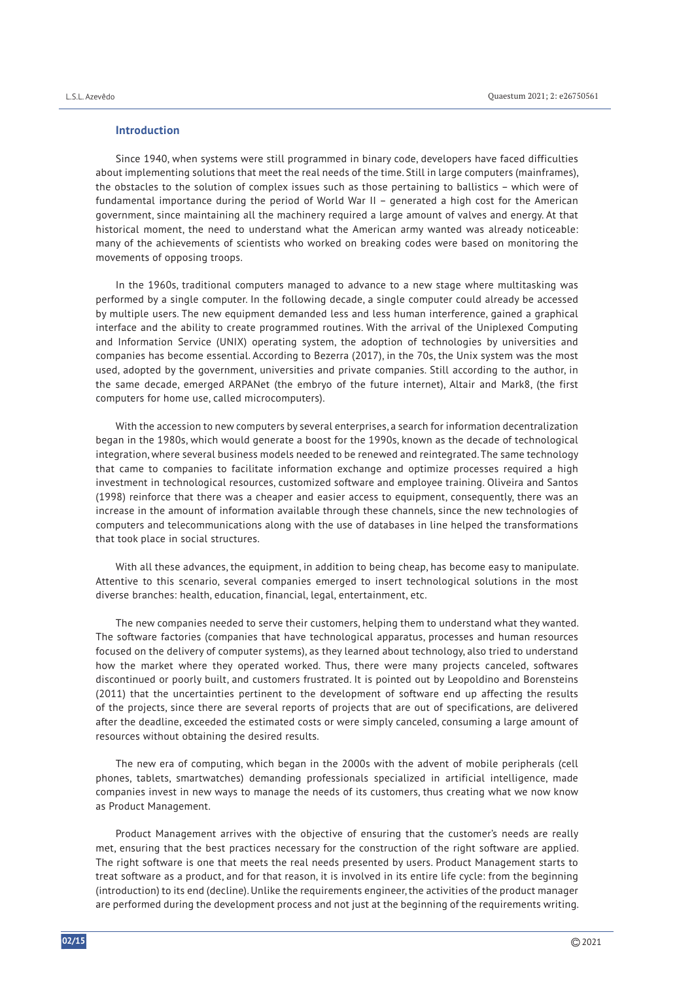#### **Introduction**

Since 1940, when systems were still programmed in binary code, developers have faced difficulties about implementing solutions that meet the real needs of the time. Still in large computers (mainframes), the obstacles to the solution of complex issues such as those pertaining to ballistics – which were of fundamental importance during the period of World War II – generated a high cost for the American government, since maintaining all the machinery required a large amount of valves and energy. At that historical moment, the need to understand what the American army wanted was already noticeable: many of the achievements of scientists who worked on breaking codes were based on monitoring the movements of opposing troops.

In the 1960s, traditional computers managed to advance to a new stage where multitasking was performed by a single computer. In the following decade, a single computer could already be accessed by multiple users. The new equipment demanded less and less human interference, gained a graphical interface and the ability to create programmed routines. With the arrival of the Uniplexed Computing and Information Service (UNIX) operating system, the adoption of technologies by universities and companies has become essential. According to Bezerra (2017), in the 70s, the Unix system was the most used, adopted by the government, universities and private companies. Still according to the author, in the same decade, emerged ARPANet (the embryo of the future internet), Altair and Mark8, (the first computers for home use, called microcomputers).

With the accession to new computers by several enterprises, a search for information decentralization began in the 1980s, which would generate a boost for the 1990s, known as the decade of technological integration, where several business models needed to be renewed and reintegrated. The same technology that came to companies to facilitate information exchange and optimize processes required a high investment in technological resources, customized software and employee training. Oliveira and Santos (1998) reinforce that there was a cheaper and easier access to equipment, consequently, there was an increase in the amount of information available through these channels, since the new technologies of computers and telecommunications along with the use of databases in line helped the transformations that took place in social structures.

With all these advances, the equipment, in addition to being cheap, has become easy to manipulate. Attentive to this scenario, several companies emerged to insert technological solutions in the most diverse branches: health, education, financial, legal, entertainment, etc.

The new companies needed to serve their customers, helping them to understand what they wanted. The software factories (companies that have technological apparatus, processes and human resources focused on the delivery of computer systems), as they learned about technology, also tried to understand how the market where they operated worked. Thus, there were many projects canceled, softwares discontinued or poorly built, and customers frustrated. It is pointed out by Leopoldino and Borensteins (2011) that the uncertainties pertinent to the development of software end up affecting the results of the projects, since there are several reports of projects that are out of specifications, are delivered after the deadline, exceeded the estimated costs or were simply canceled, consuming a large amount of resources without obtaining the desired results.

The new era of computing, which began in the 2000s with the advent of mobile peripherals (cell phones, tablets, smartwatches) demanding professionals specialized in artificial intelligence, made companies invest in new ways to manage the needs of its customers, thus creating what we now know as Product Management.

Product Management arrives with the objective of ensuring that the customer's needs are really met, ensuring that the best practices necessary for the construction of the right software are applied. The right software is one that meets the real needs presented by users. Product Management starts to treat software as a product, and for that reason, it is involved in its entire life cycle: from the beginning (introduction) to its end (decline). Unlike the requirements engineer, the activities of the product manager are performed during the development process and not just at the beginning of the requirements writing.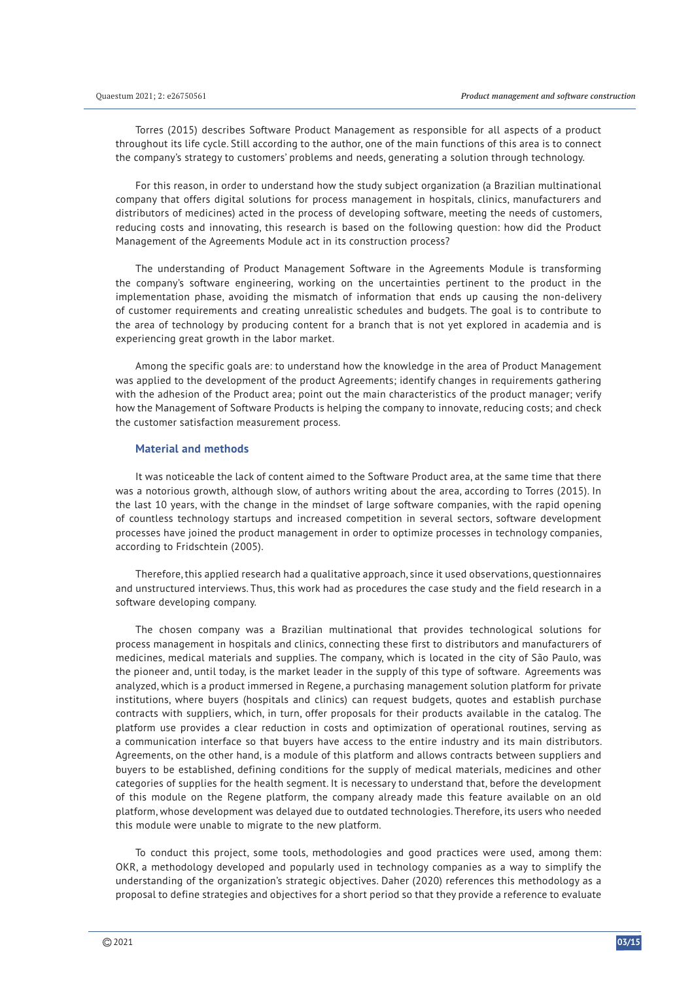Torres (2015) describes Software Product Management as responsible for all aspects of a product throughout its life cycle. Still according to the author, one of the main functions of this area is to connect the company's strategy to customers' problems and needs, generating a solution through technology.

For this reason, in order to understand how the study subject organization (a Brazilian multinational company that offers digital solutions for process management in hospitals, clinics, manufacturers and distributors of medicines) acted in the process of developing software, meeting the needs of customers, reducing costs and innovating, this research is based on the following question: how did the Product Management of the Agreements Module act in its construction process?

The understanding of Product Management Software in the Agreements Module is transforming the company's software engineering, working on the uncertainties pertinent to the product in the implementation phase, avoiding the mismatch of information that ends up causing the non-delivery of customer requirements and creating unrealistic schedules and budgets. The goal is to contribute to the area of technology by producing content for a branch that is not yet explored in academia and is experiencing great growth in the labor market.

Among the specific goals are: to understand how the knowledge in the area of Product Management was applied to the development of the product Agreements; identify changes in requirements gathering with the adhesion of the Product area; point out the main characteristics of the product manager; verify how the Management of Software Products is helping the company to innovate, reducing costs; and check the customer satisfaction measurement process.

## **Material and methods**

It was noticeable the lack of content aimed to the Software Product area, at the same time that there was a notorious growth, although slow, of authors writing about the area, according to Torres (2015). In the last 10 years, with the change in the mindset of large software companies, with the rapid opening of countless technology startups and increased competition in several sectors, software development processes have joined the product management in order to optimize processes in technology companies, according to Fridschtein (2005).

Therefore, this applied research had a qualitative approach, since it used observations, questionnaires and unstructured interviews. Thus, this work had as procedures the case study and the field research in a software developing company.

The chosen company was a Brazilian multinational that provides technological solutions for process management in hospitals and clinics, connecting these first to distributors and manufacturers of medicines, medical materials and supplies. The company, which is located in the city of São Paulo, was the pioneer and, until today, is the market leader in the supply of this type of software. Agreements was analyzed, which is a product immersed in Regene, a purchasing management solution platform for private institutions, where buyers (hospitals and clinics) can request budgets, quotes and establish purchase contracts with suppliers, which, in turn, offer proposals for their products available in the catalog. The platform use provides a clear reduction in costs and optimization of operational routines, serving as a communication interface so that buyers have access to the entire industry and its main distributors. Agreements, on the other hand, is a module of this platform and allows contracts between suppliers and buyers to be established, defining conditions for the supply of medical materials, medicines and other categories of supplies for the health segment. It is necessary to understand that, before the development of this module on the Regene platform, the company already made this feature available on an old platform, whose development was delayed due to outdated technologies. Therefore, its users who needed this module were unable to migrate to the new platform.

To conduct this project, some tools, methodologies and good practices were used, among them: OKR, a methodology developed and popularly used in technology companies as a way to simplify the understanding of the organization's strategic objectives. Daher (2020) references this methodology as a proposal to define strategies and objectives for a short period so that they provide a reference to evaluate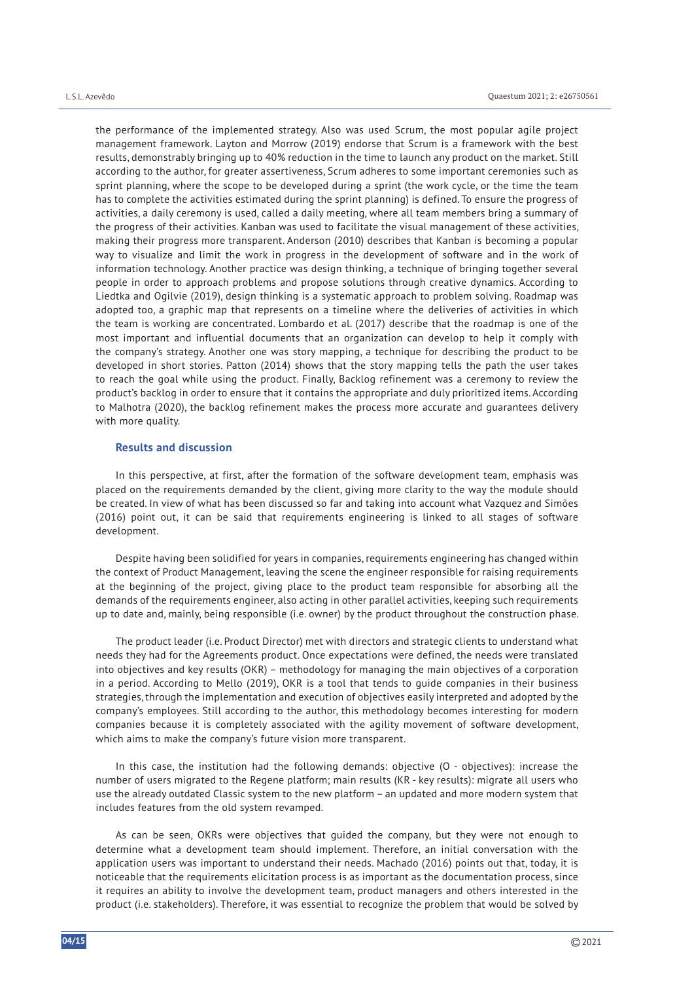the performance of the implemented strategy. Also was used Scrum, the most popular agile project management framework. Layton and Morrow (2019) endorse that Scrum is a framework with the best results, demonstrably bringing up to 40% reduction in the time to launch any product on the market. Still according to the author, for greater assertiveness, Scrum adheres to some important ceremonies such as sprint planning, where the scope to be developed during a sprint (the work cycle, or the time the team has to complete the activities estimated during the sprint planning) is defined. To ensure the progress of activities, a daily ceremony is used, called a daily meeting, where all team members bring a summary of the progress of their activities. Kanban was used to facilitate the visual management of these activities, making their progress more transparent. Anderson (2010) describes that Kanban is becoming a popular way to visualize and limit the work in progress in the development of software and in the work of information technology. Another practice was design thinking, a technique of bringing together several people in order to approach problems and propose solutions through creative dynamics. According to Liedtka and Ogilvie (2019), design thinking is a systematic approach to problem solving. Roadmap was adopted too, a graphic map that represents on a timeline where the deliveries of activities in which the team is working are concentrated. Lombardo et al. (2017) describe that the roadmap is one of the most important and influential documents that an organization can develop to help it comply with the company's strategy. Another one was story mapping, a technique for describing the product to be developed in short stories. Patton (2014) shows that the story mapping tells the path the user takes to reach the goal while using the product. Finally, Backlog refinement was a ceremony to review the product's backlog in order to ensure that it contains the appropriate and duly prioritized items. According to Malhotra (2020), the backlog refinement makes the process more accurate and guarantees delivery with more quality.

#### **Results and discussion**

In this perspective, at first, after the formation of the software development team, emphasis was placed on the requirements demanded by the client, giving more clarity to the way the module should be created. In view of what has been discussed so far and taking into account what Vazquez and Simões (2016) point out, it can be said that requirements engineering is linked to all stages of software development.

Despite having been solidified for years in companies, requirements engineering has changed within the context of Product Management, leaving the scene the engineer responsible for raising requirements at the beginning of the project, giving place to the product team responsible for absorbing all the demands of the requirements engineer, also acting in other parallel activities, keeping such requirements up to date and, mainly, being responsible (i.e. owner) by the product throughout the construction phase.

The product leader (i.e. Product Director) met with directors and strategic clients to understand what needs they had for the Agreements product. Once expectations were defined, the needs were translated into objectives and key results (OKR) – methodology for managing the main objectives of a corporation in a period. According to Mello (2019), OKR is a tool that tends to guide companies in their business strategies, through the implementation and execution of objectives easily interpreted and adopted by the company's employees. Still according to the author, this methodology becomes interesting for modern companies because it is completely associated with the agility movement of software development, which aims to make the company's future vision more transparent.

In this case, the institution had the following demands: objective (O - objectives): increase the number of users migrated to the Regene platform; main results (KR - key results): migrate all users who use the already outdated Classic system to the new platform – an updated and more modern system that includes features from the old system revamped.

As can be seen, OKRs were objectives that guided the company, but they were not enough to determine what a development team should implement. Therefore, an initial conversation with the application users was important to understand their needs. Machado (2016) points out that, today, it is noticeable that the requirements elicitation process is as important as the documentation process, since it requires an ability to involve the development team, product managers and others interested in the product (i.e. stakeholders). Therefore, it was essential to recognize the problem that would be solved by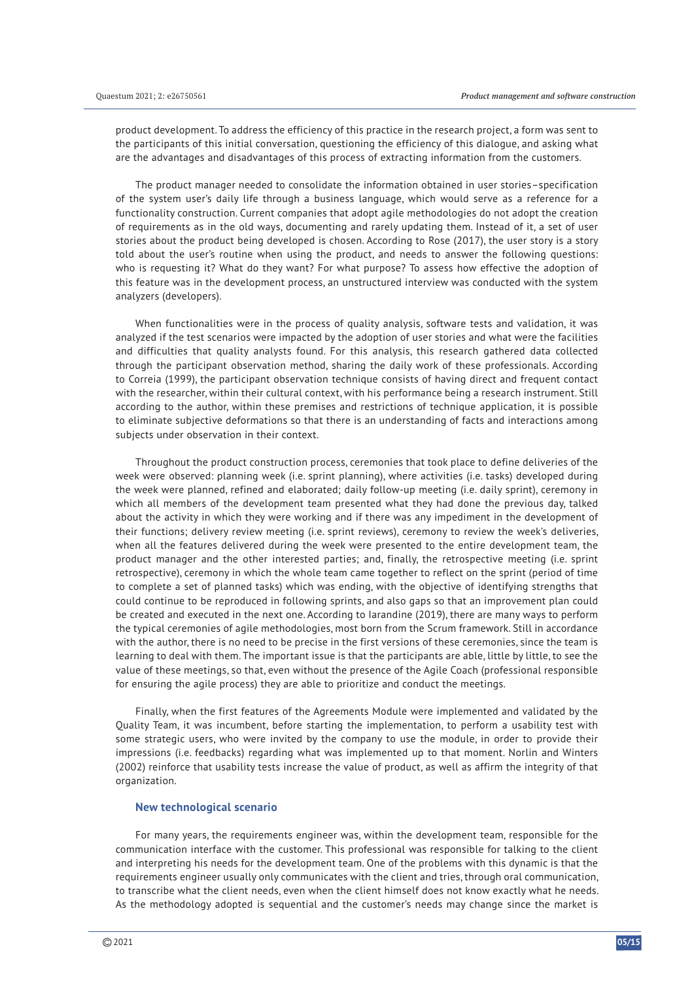product development. To address the efficiency of this practice in the research project, a form was sent to the participants of this initial conversation, questioning the efficiency of this dialogue, and asking what are the advantages and disadvantages of this process of extracting information from the customers.

The product manager needed to consolidate the information obtained in user stories–specification of the system user's daily life through a business language, which would serve as a reference for a functionality construction. Current companies that adopt agile methodologies do not adopt the creation of requirements as in the old ways, documenting and rarely updating them. Instead of it, a set of user stories about the product being developed is chosen. According to Rose (2017), the user story is a story told about the user's routine when using the product, and needs to answer the following questions: who is requesting it? What do they want? For what purpose? To assess how effective the adoption of this feature was in the development process, an unstructured interview was conducted with the system analyzers (developers).

When functionalities were in the process of quality analysis, software tests and validation, it was analyzed if the test scenarios were impacted by the adoption of user stories and what were the facilities and difficulties that quality analysts found. For this analysis, this research gathered data collected through the participant observation method, sharing the daily work of these professionals. According to Correia (1999), the participant observation technique consists of having direct and frequent contact with the researcher, within their cultural context, with his performance being a research instrument. Still according to the author, within these premises and restrictions of technique application, it is possible to eliminate subjective deformations so that there is an understanding of facts and interactions among subjects under observation in their context.

Throughout the product construction process, ceremonies that took place to define deliveries of the week were observed: planning week (i.e. sprint planning), where activities (i.e. tasks) developed during the week were planned, refined and elaborated; daily follow-up meeting (i.e. daily sprint), ceremony in which all members of the development team presented what they had done the previous day, talked about the activity in which they were working and if there was any impediment in the development of their functions; delivery review meeting (i.e. sprint reviews), ceremony to review the week's deliveries, when all the features delivered during the week were presented to the entire development team, the product manager and the other interested parties; and, finally, the retrospective meeting (i.e. sprint retrospective), ceremony in which the whole team came together to reflect on the sprint (period of time to complete a set of planned tasks) which was ending, with the objective of identifying strengths that could continue to be reproduced in following sprints, and also gaps so that an improvement plan could be created and executed in the next one. According to Iarandine (2019), there are many ways to perform the typical ceremonies of agile methodologies, most born from the Scrum framework. Still in accordance with the author, there is no need to be precise in the first versions of these ceremonies, since the team is learning to deal with them. The important issue is that the participants are able, little by little, to see the value of these meetings, so that, even without the presence of the Agile Coach (professional responsible for ensuring the agile process) they are able to prioritize and conduct the meetings.

Finally, when the first features of the Agreements Module were implemented and validated by the Quality Team, it was incumbent, before starting the implementation, to perform a usability test with some strategic users, who were invited by the company to use the module, in order to provide their impressions (i.e. feedbacks) regarding what was implemented up to that moment. Norlin and Winters (2002) reinforce that usability tests increase the value of product, as well as affirm the integrity of that organization.

### **New technological scenario**

For many years, the requirements engineer was, within the development team, responsible for the communication interface with the customer. This professional was responsible for talking to the client and interpreting his needs for the development team. One of the problems with this dynamic is that the requirements engineer usually only communicates with the client and tries, through oral communication, to transcribe what the client needs, even when the client himself does not know exactly what he needs. As the methodology adopted is sequential and the customer's needs may change since the market is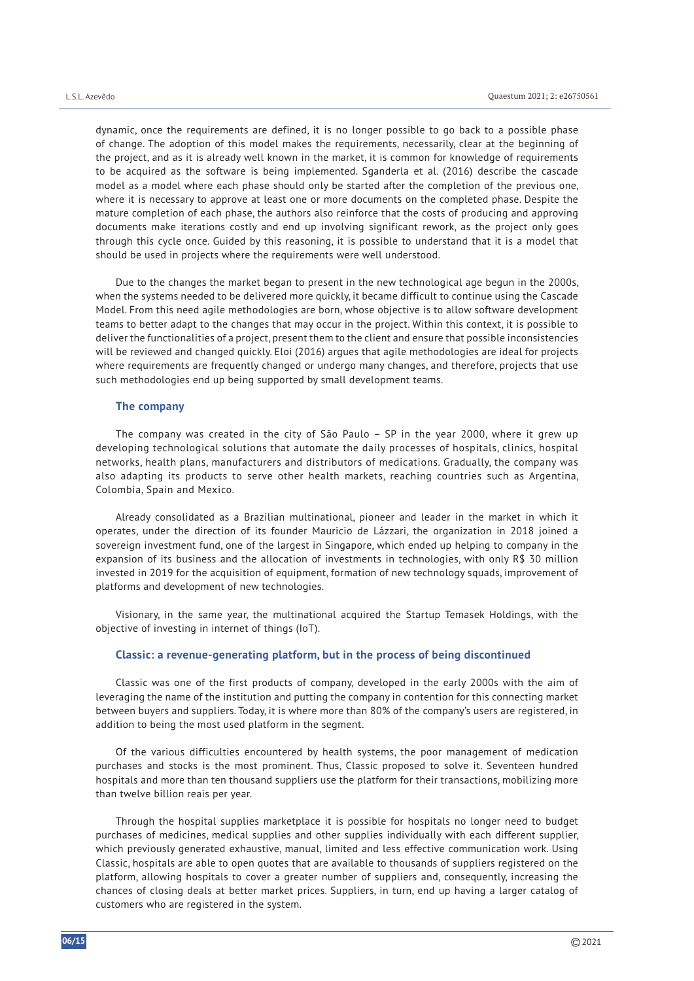dynamic, once the requirements are defined, it is no longer possible to go back to a possible phase of change. The adoption of this model makes the requirements, necessarily, clear at the beginning of the project, and as it is already well known in the market, it is common for knowledge of requirements to be acquired as the software is being implemented. Sganderla et al. (2016) describe the cascade model as a model where each phase should only be started after the completion of the previous one, where it is necessary to approve at least one or more documents on the completed phase. Despite the mature completion of each phase, the authors also reinforce that the costs of producing and approving documents make iterations costly and end up involving significant rework, as the project only goes through this cycle once. Guided by this reasoning, it is possible to understand that it is a model that should be used in projects where the requirements were well understood.

Due to the changes the market began to present in the new technological age begun in the 2000s, when the systems needed to be delivered more quickly, it became difficult to continue using the Cascade Model. From this need agile methodologies are born, whose objective is to allow software development teams to better adapt to the changes that may occur in the project. Within this context, it is possible to deliver the functionalities of a project, present them to the client and ensure that possible inconsistencies will be reviewed and changed quickly. Eloi (2016) argues that agile methodologies are ideal for projects where requirements are frequently changed or undergo many changes, and therefore, projects that use such methodologies end up being supported by small development teams.

#### **The company**

The company was created in the city of São Paulo – SP in the year 2000, where it grew up developing technological solutions that automate the daily processes of hospitals, clinics, hospital networks, health plans, manufacturers and distributors of medications. Gradually, the company was also adapting its products to serve other health markets, reaching countries such as Argentina, Colombia, Spain and Mexico.

Already consolidated as a Brazilian multinational, pioneer and leader in the market in which it operates, under the direction of its founder Mauricio de Lázzari, the organization in 2018 joined a sovereign investment fund, one of the largest in Singapore, which ended up helping to company in the expansion of its business and the allocation of investments in technologies, with only R\$ 30 million invested in 2019 for the acquisition of equipment, formation of new technology squads, improvement of platforms and development of new technologies.

Visionary, in the same year, the multinational acquired the Startup Temasek Holdings, with the objective of investing in internet of things (IoT).

## **Classic: a revenue-generating platform, but in the process of being discontinued**

Classic was one of the first products of company, developed in the early 2000s with the aim of leveraging the name of the institution and putting the company in contention for this connecting market between buyers and suppliers. Today, it is where more than 80% of the company's users are registered, in addition to being the most used platform in the segment.

Of the various difficulties encountered by health systems, the poor management of medication purchases and stocks is the most prominent. Thus, Classic proposed to solve it. Seventeen hundred hospitals and more than ten thousand suppliers use the platform for their transactions, mobilizing more than twelve billion reais per year.

Through the hospital supplies marketplace it is possible for hospitals no longer need to budget purchases of medicines, medical supplies and other supplies individually with each different supplier, which previously generated exhaustive, manual, limited and less effective communication work. Using Classic, hospitals are able to open quotes that are available to thousands of suppliers registered on the platform, allowing hospitals to cover a greater number of suppliers and, consequently, increasing the chances of closing deals at better market prices. Suppliers, in turn, end up having a larger catalog of customers who are registered in the system.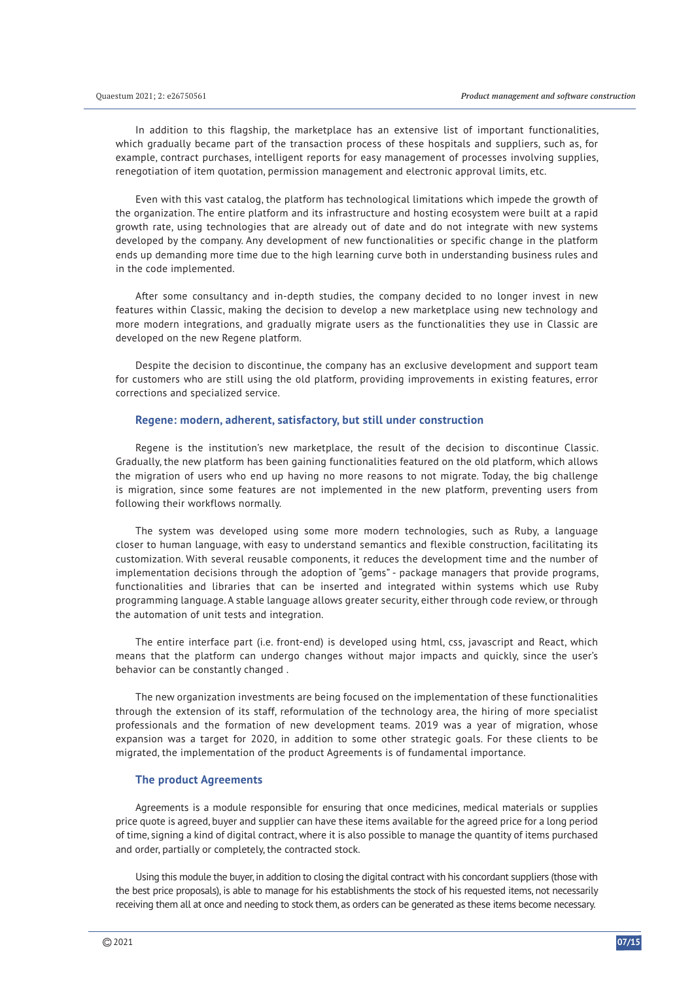In addition to this flagship, the marketplace has an extensive list of important functionalities, which gradually became part of the transaction process of these hospitals and suppliers, such as, for example, contract purchases, intelligent reports for easy management of processes involving supplies, renegotiation of item quotation, permission management and electronic approval limits, etc.

Even with this vast catalog, the platform has technological limitations which impede the growth of the organization. The entire platform and its infrastructure and hosting ecosystem were built at a rapid growth rate, using technologies that are already out of date and do not integrate with new systems developed by the company. Any development of new functionalities or specific change in the platform ends up demanding more time due to the high learning curve both in understanding business rules and in the code implemented.

After some consultancy and in-depth studies, the company decided to no longer invest in new features within Classic, making the decision to develop a new marketplace using new technology and more modern integrations, and gradually migrate users as the functionalities they use in Classic are developed on the new Regene platform.

Despite the decision to discontinue, the company has an exclusive development and support team for customers who are still using the old platform, providing improvements in existing features, error corrections and specialized service.

#### **Regene: modern, adherent, satisfactory, but still under construction**

Regene is the institution's new marketplace, the result of the decision to discontinue Classic. Gradually, the new platform has been gaining functionalities featured on the old platform, which allows the migration of users who end up having no more reasons to not migrate. Today, the big challenge is migration, since some features are not implemented in the new platform, preventing users from following their workflows normally.

The system was developed using some more modern technologies, such as Ruby, a language closer to human language, with easy to understand semantics and flexible construction, facilitating its customization. With several reusable components, it reduces the development time and the number of implementation decisions through the adoption of "gems" - package managers that provide programs, functionalities and libraries that can be inserted and integrated within systems which use Ruby programming language. A stable language allows greater security, either through code review, or through the automation of unit tests and integration.

The entire interface part (i.e. front-end) is developed using html, css, javascript and React, which means that the platform can undergo changes without major impacts and quickly, since the user's behavior can be constantly changed .

The new organization investments are being focused on the implementation of these functionalities through the extension of its staff, reformulation of the technology area, the hiring of more specialist professionals and the formation of new development teams. 2019 was a year of migration, whose expansion was a target for 2020, in addition to some other strategic goals. For these clients to be migrated, the implementation of the product Agreements is of fundamental importance.

#### **The product Agreements**

Agreements is a module responsible for ensuring that once medicines, medical materials or supplies price quote is agreed, buyer and supplier can have these items available for the agreed price for a long period of time, signing a kind of digital contract, where it is also possible to manage the quantity of items purchased and order, partially or completely, the contracted stock.

Using this module the buyer, in addition to closing the digital contract with his concordant suppliers (those with the best price proposals), is able to manage for his establishments the stock of his requested items, not necessarily receiving them all at once and needing to stock them, as orders can be generated as these items become necessary.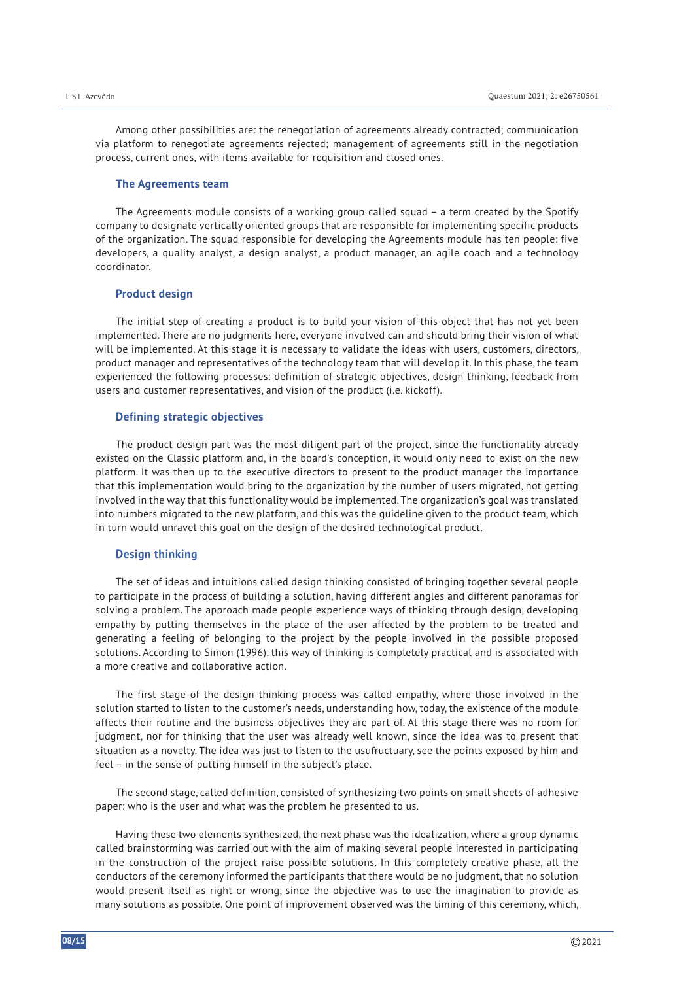Among other possibilities are: the renegotiation of agreements already contracted; communication via platform to renegotiate agreements rejected; management of agreements still in the negotiation process, current ones, with items available for requisition and closed ones.

## **The Agreements team**

The Agreements module consists of a working group called squad – a term created by the Spotify company to designate vertically oriented groups that are responsible for implementing specific products of the organization. The squad responsible for developing the Agreements module has ten people: five developers, a quality analyst, a design analyst, a product manager, an agile coach and a technology coordinator.

#### **Product design**

The initial step of creating a product is to build your vision of this object that has not yet been implemented. There are no judgments here, everyone involved can and should bring their vision of what will be implemented. At this stage it is necessary to validate the ideas with users, customers, directors, product manager and representatives of the technology team that will develop it. In this phase, the team experienced the following processes: definition of strategic objectives, design thinking, feedback from users and customer representatives, and vision of the product (i.e. kickoff).

#### **Defining strategic objectives**

The product design part was the most diligent part of the project, since the functionality already existed on the Classic platform and, in the board's conception, it would only need to exist on the new platform. It was then up to the executive directors to present to the product manager the importance that this implementation would bring to the organization by the number of users migrated, not getting involved in the way that this functionality would be implemented. The organization's goal was translated into numbers migrated to the new platform, and this was the guideline given to the product team, which in turn would unravel this goal on the design of the desired technological product.

# **Design thinking**

The set of ideas and intuitions called design thinking consisted of bringing together several people to participate in the process of building a solution, having different angles and different panoramas for solving a problem. The approach made people experience ways of thinking through design, developing empathy by putting themselves in the place of the user affected by the problem to be treated and generating a feeling of belonging to the project by the people involved in the possible proposed solutions. According to Simon (1996), this way of thinking is completely practical and is associated with a more creative and collaborative action.

The first stage of the design thinking process was called empathy, where those involved in the solution started to listen to the customer's needs, understanding how, today, the existence of the module affects their routine and the business objectives they are part of. At this stage there was no room for judgment, nor for thinking that the user was already well known, since the idea was to present that situation as a novelty. The idea was just to listen to the usufructuary, see the points exposed by him and feel – in the sense of putting himself in the subject's place.

The second stage, called definition, consisted of synthesizing two points on small sheets of adhesive paper: who is the user and what was the problem he presented to us.

Having these two elements synthesized, the next phase was the idealization, where a group dynamic called brainstorming was carried out with the aim of making several people interested in participating in the construction of the project raise possible solutions. In this completely creative phase, all the conductors of the ceremony informed the participants that there would be no judgment, that no solution would present itself as right or wrong, since the objective was to use the imagination to provide as many solutions as possible. One point of improvement observed was the timing of this ceremony, which,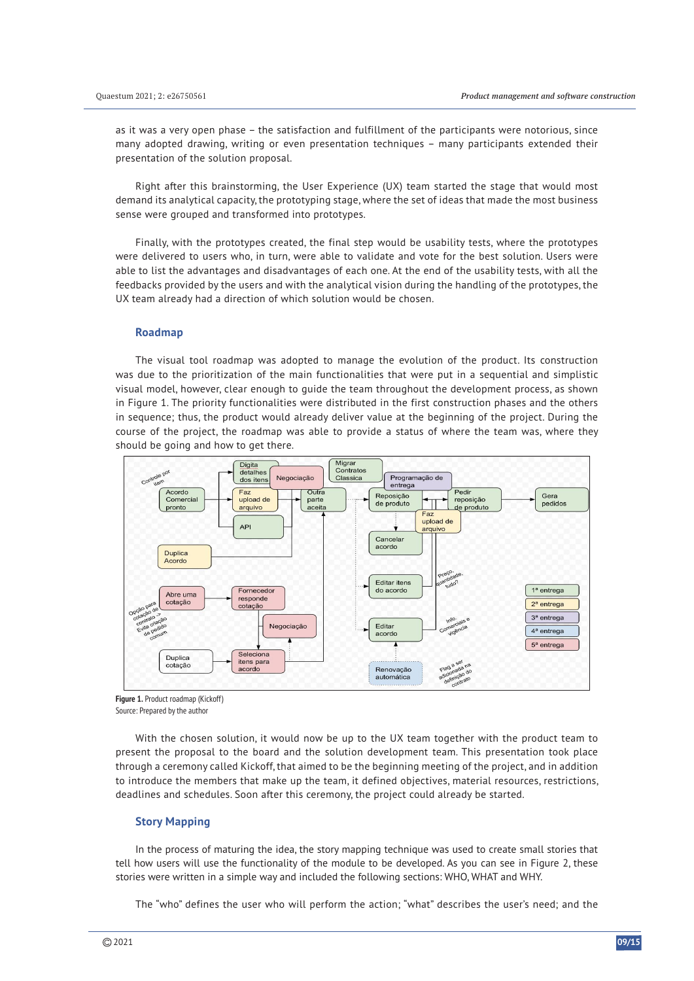as it was a very open phase – the satisfaction and fulfillment of the participants were notorious, since many adopted drawing, writing or even presentation techniques – many participants extended their presentation of the solution proposal.

Right after this brainstorming, the User Experience (UX) team started the stage that would most demand its analytical capacity, the prototyping stage, where the set of ideas that made the most business sense were grouped and transformed into prototypes.

Finally, with the prototypes created, the final step would be usability tests, where the prototypes were delivered to users who, in turn, were able to validate and vote for the best solution. Users were able to list the advantages and disadvantages of each one. At the end of the usability tests, with all the feedbacks provided by the users and with the analytical vision during the handling of the prototypes, the UX team already had a direction of which solution would be chosen.

#### **Roadmap**

The visual tool roadmap was adopted to manage the evolution of the product. Its construction was due to the prioritization of the main functionalities that were put in a sequential and simplistic visual model, however, clear enough to guide the team throughout the development process, as shown in Figure 1. The priority functionalities were distributed in the first construction phases and the others in sequence; thus, the product would already deliver value at the beginning of the project. During the course of the project, the roadmap was able to provide a status of where the team was, where they should be going and how to get there.



**Figure 1.** Product roadmap (Kickoff) Source: Prepared by the author

With the chosen solution, it would now be up to the UX team together with the product team to present the proposal to the board and the solution development team. This presentation took place through a ceremony called Kickoff, that aimed to be the beginning meeting of the project, and in addition to introduce the members that make up the team, it defined objectives, material resources, restrictions, deadlines and schedules. Soon after this ceremony, the project could already be started.

# **Story Mapping**

In the process of maturing the idea, the story mapping technique was used to create small stories that tell how users will use the functionality of the module to be developed. As you can see in Figure 2, these stories were written in a simple way and included the following sections: WHO, WHAT and WHY.

The "who" defines the user who will perform the action; "what" describes the user's need; and the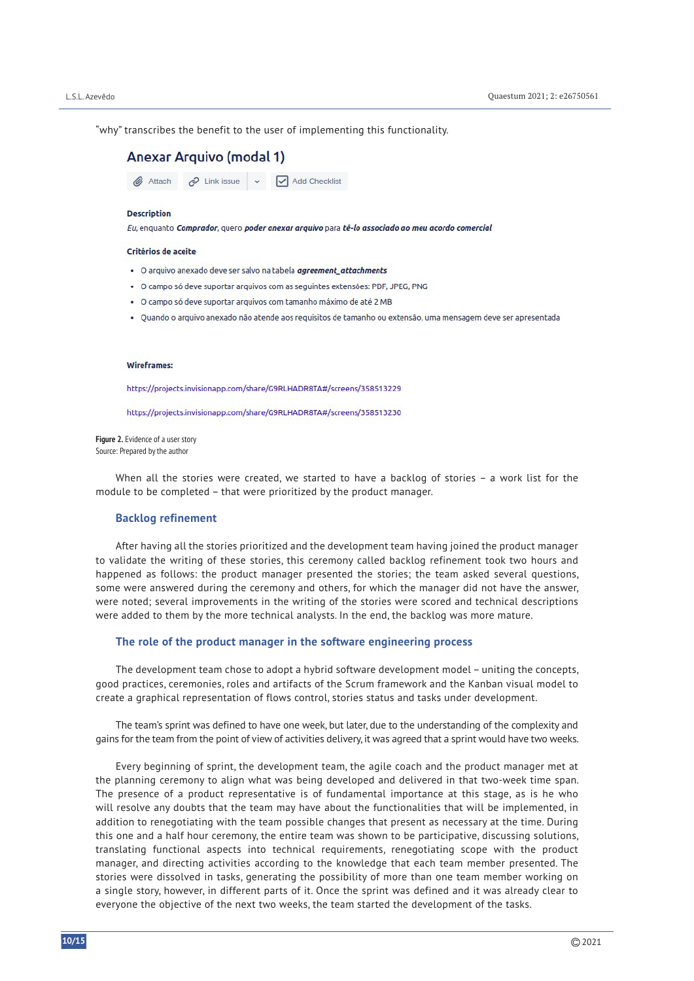"why" transcribes the benefit to the user of implementing this functionality.

| Anexar Arquivo (modal 1) |  |  |                                                         |  |
|--------------------------|--|--|---------------------------------------------------------|--|
|                          |  |  | Attach $\oslash$ Link issue $\vee$ $\vee$ Add Checklist |  |

#### **Description**

Eu, enquanto Comprador, quero poder anexar arquivo para tê-lo associado ao meu acordo comercial

#### Critérios de aceite

- · O arquivo anexado deve ser salvo na tabela agreement\_attachments
- . O campo só deve suportar arquivos com as seguintes extensões: PDF, JPEG, PNG
- · O campo só deve suportar arquivos com tamanho máximo de até 2 MB
- · Quando o arquivo anexado não atende aos requisitos de tamanho ou extensão, uma mensagem deve ser apresentada

#### Wireframes:

https://projects.invisionapp.com/share/G9RLHADR8TA#/screens/358513229

https://projects.invisionapp.com/share/G9RLHADR8TA#/screens/358513230

**Figure 2.** Evidence of a user story Source: Prepared by the author

When all the stories were created, we started to have a backlog of stories – a work list for the module to be completed – that were prioritized by the product manager.

#### **Backlog refinement**

After having all the stories prioritized and the development team having joined the product manager to validate the writing of these stories, this ceremony called backlog refinement took two hours and happened as follows: the product manager presented the stories; the team asked several questions, some were answered during the ceremony and others, for which the manager did not have the answer, were noted; several improvements in the writing of the stories were scored and technical descriptions were added to them by the more technical analysts. In the end, the backlog was more mature.

#### **The role of the product manager in the software engineering process**

The development team chose to adopt a hybrid software development model – uniting the concepts, good practices, ceremonies, roles and artifacts of the Scrum framework and the Kanban visual model to create a graphical representation of flows control, stories status and tasks under development.

The team's sprint was defined to have one week, but later, due to the understanding of the complexity and gains for the team from the point of view of activities delivery, it was agreed that a sprint would have two weeks.

Every beginning of sprint, the development team, the agile coach and the product manager met at the planning ceremony to align what was being developed and delivered in that two-week time span. The presence of a product representative is of fundamental importance at this stage, as is he who will resolve any doubts that the team may have about the functionalities that will be implemented, in addition to renegotiating with the team possible changes that present as necessary at the time. During this one and a half hour ceremony, the entire team was shown to be participative, discussing solutions, translating functional aspects into technical requirements, renegotiating scope with the product manager, and directing activities according to the knowledge that each team member presented. The stories were dissolved in tasks, generating the possibility of more than one team member working on a single story, however, in different parts of it. Once the sprint was defined and it was already clear to everyone the objective of the next two weeks, the team started the development of the tasks.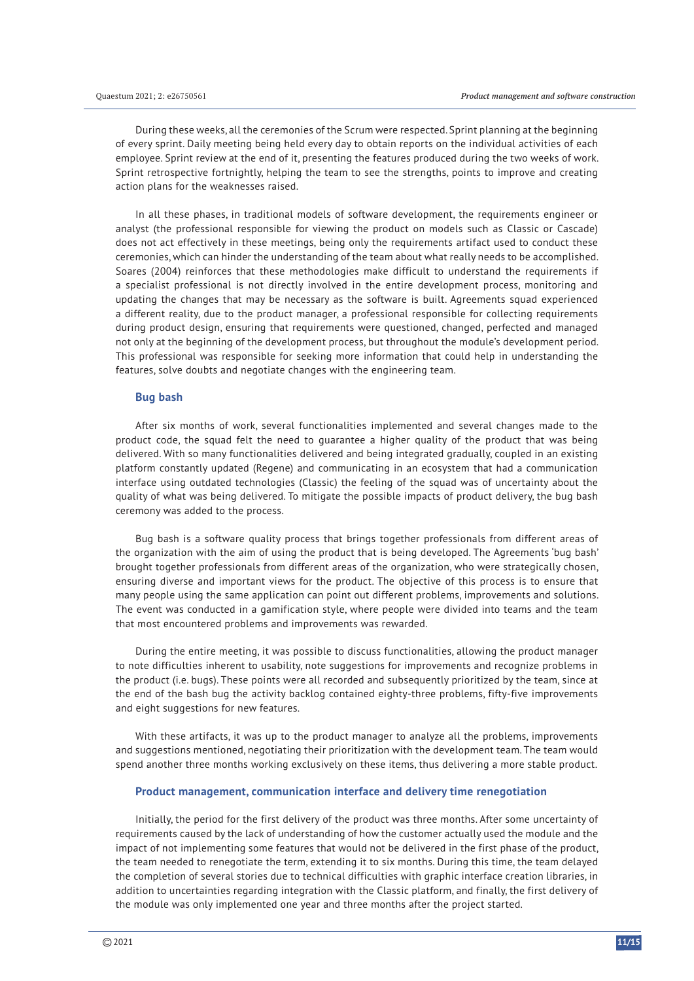During these weeks, all the ceremonies of the Scrum were respected. Sprint planning at the beginning of every sprint. Daily meeting being held every day to obtain reports on the individual activities of each employee. Sprint review at the end of it, presenting the features produced during the two weeks of work. Sprint retrospective fortnightly, helping the team to see the strengths, points to improve and creating action plans for the weaknesses raised.

In all these phases, in traditional models of software development, the requirements engineer or analyst (the professional responsible for viewing the product on models such as Classic or Cascade) does not act effectively in these meetings, being only the requirements artifact used to conduct these ceremonies, which can hinder the understanding of the team about what really needs to be accomplished. Soares (2004) reinforces that these methodologies make difficult to understand the requirements if a specialist professional is not directly involved in the entire development process, monitoring and updating the changes that may be necessary as the software is built. Agreements squad experienced a different reality, due to the product manager, a professional responsible for collecting requirements during product design, ensuring that requirements were questioned, changed, perfected and managed not only at the beginning of the development process, but throughout the module's development period. This professional was responsible for seeking more information that could help in understanding the features, solve doubts and negotiate changes with the engineering team.

#### **Bug bash**

After six months of work, several functionalities implemented and several changes made to the product code, the squad felt the need to guarantee a higher quality of the product that was being delivered. With so many functionalities delivered and being integrated gradually, coupled in an existing platform constantly updated (Regene) and communicating in an ecosystem that had a communication interface using outdated technologies (Classic) the feeling of the squad was of uncertainty about the quality of what was being delivered. To mitigate the possible impacts of product delivery, the bug bash ceremony was added to the process.

Bug bash is a software quality process that brings together professionals from different areas of the organization with the aim of using the product that is being developed. The Agreements 'bug bash' brought together professionals from different areas of the organization, who were strategically chosen, ensuring diverse and important views for the product. The objective of this process is to ensure that many people using the same application can point out different problems, improvements and solutions. The event was conducted in a gamification style, where people were divided into teams and the team that most encountered problems and improvements was rewarded.

During the entire meeting, it was possible to discuss functionalities, allowing the product manager to note difficulties inherent to usability, note suggestions for improvements and recognize problems in the product (i.e. bugs). These points were all recorded and subsequently prioritized by the team, since at the end of the bash bug the activity backlog contained eighty-three problems, fifty-five improvements and eight suggestions for new features.

With these artifacts, it was up to the product manager to analyze all the problems, improvements and suggestions mentioned, negotiating their prioritization with the development team. The team would spend another three months working exclusively on these items, thus delivering a more stable product.

#### **Product management, communication interface and delivery time renegotiation**

Initially, the period for the first delivery of the product was three months. After some uncertainty of requirements caused by the lack of understanding of how the customer actually used the module and the impact of not implementing some features that would not be delivered in the first phase of the product, the team needed to renegotiate the term, extending it to six months. During this time, the team delayed the completion of several stories due to technical difficulties with graphic interface creation libraries, in addition to uncertainties regarding integration with the Classic platform, and finally, the first delivery of the module was only implemented one year and three months after the project started.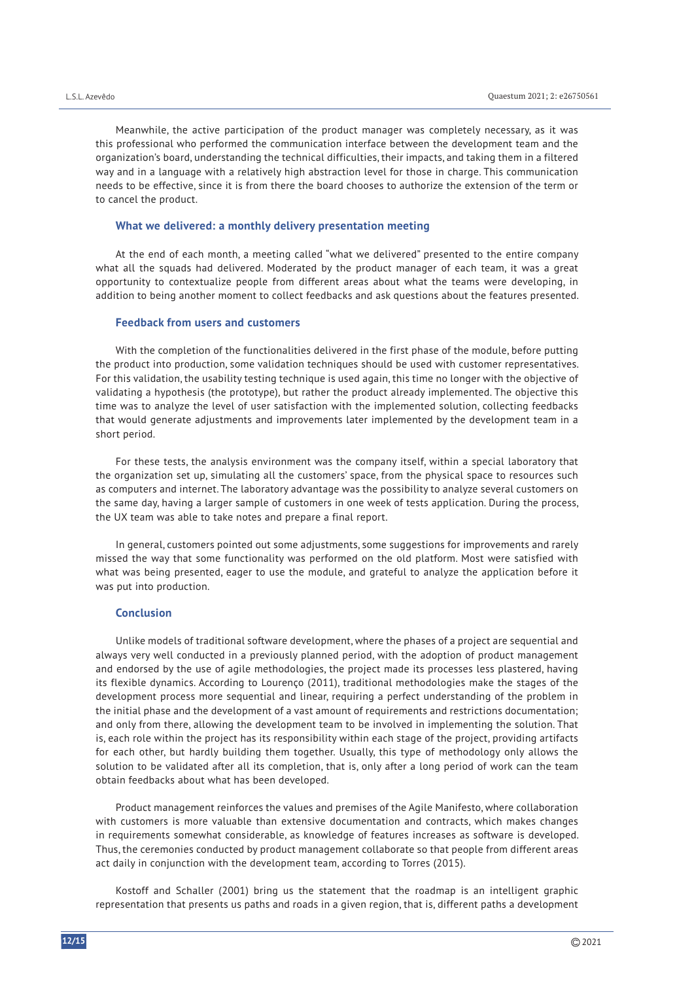Meanwhile, the active participation of the product manager was completely necessary, as it was this professional who performed the communication interface between the development team and the organization's board, understanding the technical difficulties, their impacts, and taking them in a filtered way and in a language with a relatively high abstraction level for those in charge. This communication needs to be effective, since it is from there the board chooses to authorize the extension of the term or to cancel the product.

# **What we delivered: a monthly delivery presentation meeting**

At the end of each month, a meeting called "what we delivered" presented to the entire company what all the squads had delivered. Moderated by the product manager of each team, it was a great opportunity to contextualize people from different areas about what the teams were developing, in addition to being another moment to collect feedbacks and ask questions about the features presented.

#### **Feedback from users and customers**

With the completion of the functionalities delivered in the first phase of the module, before putting the product into production, some validation techniques should be used with customer representatives. For this validation, the usability testing technique is used again, this time no longer with the objective of validating a hypothesis (the prototype), but rather the product already implemented. The objective this time was to analyze the level of user satisfaction with the implemented solution, collecting feedbacks that would generate adjustments and improvements later implemented by the development team in a short period.

For these tests, the analysis environment was the company itself, within a special laboratory that the organization set up, simulating all the customers' space, from the physical space to resources such as computers and internet. The laboratory advantage was the possibility to analyze several customers on the same day, having a larger sample of customers in one week of tests application. During the process, the UX team was able to take notes and prepare a final report.

In general, customers pointed out some adjustments, some suggestions for improvements and rarely missed the way that some functionality was performed on the old platform. Most were satisfied with what was being presented, eager to use the module, and grateful to analyze the application before it was put into production.

#### **Conclusion**

Unlike models of traditional software development, where the phases of a project are sequential and always very well conducted in a previously planned period, with the adoption of product management and endorsed by the use of agile methodologies, the project made its processes less plastered, having its flexible dynamics. According to Lourenço (2011), traditional methodologies make the stages of the development process more sequential and linear, requiring a perfect understanding of the problem in the initial phase and the development of a vast amount of requirements and restrictions documentation; and only from there, allowing the development team to be involved in implementing the solution. That is, each role within the project has its responsibility within each stage of the project, providing artifacts for each other, but hardly building them together. Usually, this type of methodology only allows the solution to be validated after all its completion, that is, only after a long period of work can the team obtain feedbacks about what has been developed.

Product management reinforces the values and premises of the Agile Manifesto, where collaboration with customers is more valuable than extensive documentation and contracts, which makes changes in requirements somewhat considerable, as knowledge of features increases as software is developed. Thus, the ceremonies conducted by product management collaborate so that people from different areas act daily in conjunction with the development team, according to Torres (2015).

Kostoff and Schaller (2001) bring us the statement that the roadmap is an intelligent graphic representation that presents us paths and roads in a given region, that is, different paths a development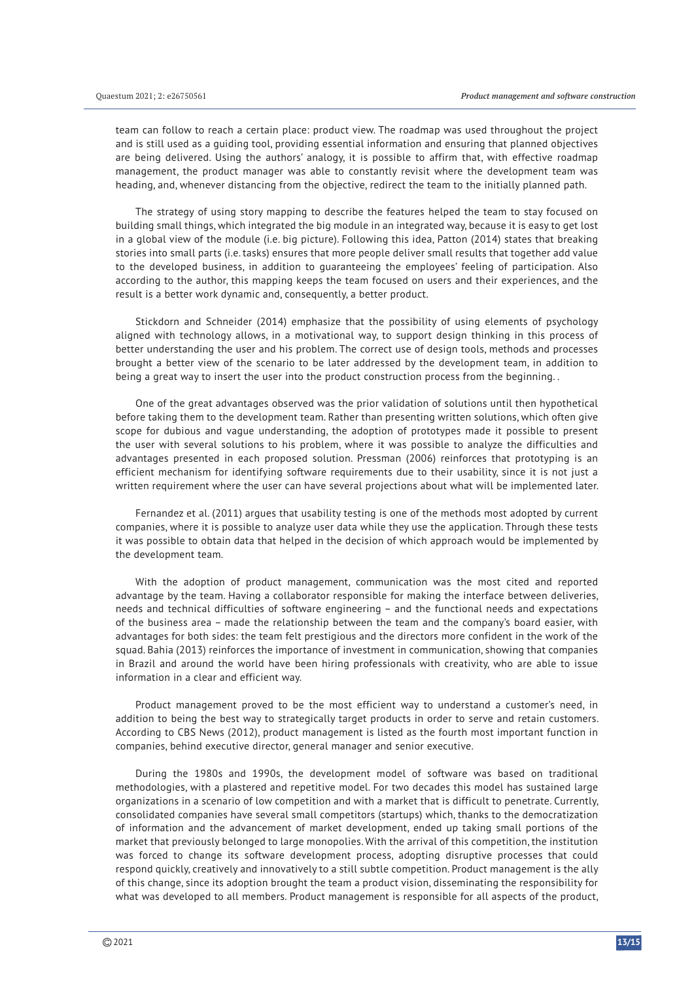team can follow to reach a certain place: product view. The roadmap was used throughout the project and is still used as a guiding tool, providing essential information and ensuring that planned objectives are being delivered. Using the authors' analogy, it is possible to affirm that, with effective roadmap management, the product manager was able to constantly revisit where the development team was heading, and, whenever distancing from the objective, redirect the team to the initially planned path.

The strategy of using story mapping to describe the features helped the team to stay focused on building small things, which integrated the big module in an integrated way, because it is easy to get lost in a global view of the module (i.e. big picture). Following this idea, Patton (2014) states that breaking stories into small parts (i.e. tasks) ensures that more people deliver small results that together add value to the developed business, in addition to guaranteeing the employees' feeling of participation. Also according to the author, this mapping keeps the team focused on users and their experiences, and the result is a better work dynamic and, consequently, a better product.

Stickdorn and Schneider (2014) emphasize that the possibility of using elements of psychology aligned with technology allows, in a motivational way, to support design thinking in this process of better understanding the user and his problem. The correct use of design tools, methods and processes brought a better view of the scenario to be later addressed by the development team, in addition to being a great way to insert the user into the product construction process from the beginning. .

One of the great advantages observed was the prior validation of solutions until then hypothetical before taking them to the development team. Rather than presenting written solutions, which often give scope for dubious and vague understanding, the adoption of prototypes made it possible to present the user with several solutions to his problem, where it was possible to analyze the difficulties and advantages presented in each proposed solution. Pressman (2006) reinforces that prototyping is an efficient mechanism for identifying software requirements due to their usability, since it is not just a written requirement where the user can have several projections about what will be implemented later.

Fernandez et al. (2011) argues that usability testing is one of the methods most adopted by current companies, where it is possible to analyze user data while they use the application. Through these tests it was possible to obtain data that helped in the decision of which approach would be implemented by the development team.

With the adoption of product management, communication was the most cited and reported advantage by the team. Having a collaborator responsible for making the interface between deliveries, needs and technical difficulties of software engineering – and the functional needs and expectations of the business area – made the relationship between the team and the company's board easier, with advantages for both sides: the team felt prestigious and the directors more confident in the work of the squad. Bahia (2013) reinforces the importance of investment in communication, showing that companies in Brazil and around the world have been hiring professionals with creativity, who are able to issue information in a clear and efficient way.

Product management proved to be the most efficient way to understand a customer's need, in addition to being the best way to strategically target products in order to serve and retain customers. According to CBS News (2012), product management is listed as the fourth most important function in companies, behind executive director, general manager and senior executive.

During the 1980s and 1990s, the development model of software was based on traditional methodologies, with a plastered and repetitive model. For two decades this model has sustained large organizations in a scenario of low competition and with a market that is difficult to penetrate. Currently, consolidated companies have several small competitors (startups) which, thanks to the democratization of information and the advancement of market development, ended up taking small portions of the market that previously belonged to large monopolies. With the arrival of this competition, the institution was forced to change its software development process, adopting disruptive processes that could respond quickly, creatively and innovatively to a still subtle competition. Product management is the ally of this change, since its adoption brought the team a product vision, disseminating the responsibility for what was developed to all members. Product management is responsible for all aspects of the product,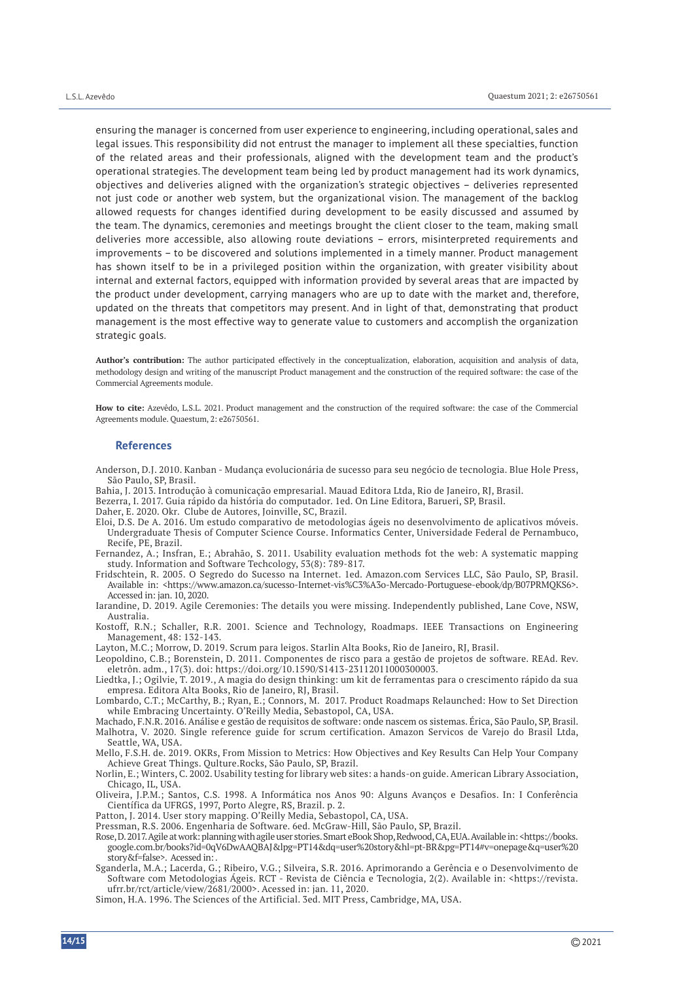ensuring the manager is concerned from user experience to engineering, including operational, sales and legal issues. This responsibility did not entrust the manager to implement all these specialties, function of the related areas and their professionals, aligned with the development team and the product's operational strategies. The development team being led by product management had its work dynamics, objectives and deliveries aligned with the organization's strategic objectives – deliveries represented not just code or another web system, but the organizational vision. The management of the backlog allowed requests for changes identified during development to be easily discussed and assumed by the team. The dynamics, ceremonies and meetings brought the client closer to the team, making small deliveries more accessible, also allowing route deviations – errors, misinterpreted requirements and improvements – to be discovered and solutions implemented in a timely manner. Product management has shown itself to be in a privileged position within the organization, with greater visibility about internal and external factors, equipped with information provided by several areas that are impacted by the product under development, carrying managers who are up to date with the market and, therefore, updated on the threats that competitors may present. And in light of that, demonstrating that product management is the most effective way to generate value to customers and accomplish the organization strategic goals.

**Author's contribution:** The author participated effectively in the conceptualization, elaboration, acquisition and analysis of data, methodology design and writing of the manuscript Product management and the construction of the required software: the case of the Commercial Agreements module.

**How to cite:** Azevêdo, L.S.L. 2021. Product management and the construction of the required software: the case of the Commercial Agreements module. Quaestum, 2: e26750561.

#### **References**

Anderson, D.J. 2010. Kanban - Mudança evolucionária de sucesso para seu negócio de tecnologia. Blue Hole Press, São Paulo, SP, Brasil.

Bahia, J. 2013. Introdução à comunicação empresarial. Mauad Editora Ltda, Rio de Janeiro, RJ, Brasil.

- Bezerra, I. 2017. Guia rápido da história do computador. 1ed. On Line Editora, Barueri, SP, Brasil.
- Daher, E. 2020. Okr. Clube de Autores, Joinville, SC, Brazil.
- Eloi, D.S. De A. 2016. Um estudo comparativo de metodologias ágeis no desenvolvimento de aplicativos móveis. Undergraduate Thesis of Computer Science Course. Informatics Center, Universidade Federal de Pernambuco, Recife, PE, Brazil.

Fernandez, A.; Insfran, E.; Abrahão, S. 2011. Usability evaluation methods fot the web: A systematic mapping study. Information and Software Techcology, 53(8): 789-817.

Fridschtein, R. 2005. O Segredo do Sucesso na Internet. 1ed. Amazon.com Services LLC, São Paulo, SP, Brasil. Available in: <https://www.amazon.ca/sucesso-Internet-vis%C3%A3o-Mercado-Portuguese-ebook/dp/B07PRMQKS6>. Accessed in: jan.  $10, 2020$ .

Iarandine, D. 2019. Agile Ceremonies: The details you were missing. Independently published, Lane Cove, NSW, Australia.

Kostoff, R.N.; Schaller, R.R. 2001. Science and Technology, Roadmaps. IEEE Transactions on Engineering Management, 48: 132-143.

Layton, M.C.; Morrow, D. 2019. Scrum para leigos. Starlin Alta Books, Rio de Janeiro, RJ, Brasil.

Leopoldino, C.B.; Borenstein, D. 2011. Componentes de risco para a gestão de projetos de software. REAd. Rev. eletrôn. adm., 17(3). doi: https://doi.org/10.1590/S1413-23112011000300003.

Liedtka, J.; Ogilvie, T. 2019., A magia do design thinking: um kit de ferramentas para o crescimento rápido da sua empresa. Editora Alta Books, Rio de Janeiro, RJ, Brasil.

Lombardo, C.T.; McCarthy, B.; Ryan, E.; Connors, M. 2017. Product Roadmaps Relaunched: How to Set Direction while Embracing Uncertainty. O'Reilly Media, Sebastopol, CA, USA.

Machado, F.N.R. 2016. Análise e gestão de requisitos de software: onde nascem os sistemas. Érica, São Paulo, SP, Brasil. Malhotra, V. 2020. Single reference guide for scrum certification. Amazon Servicos de Varejo do Brasil Ltda, Seattle, WA, USA.

Mello, F.S.H. de. 2019. OKRs, From Mission to Metrics: How Objectives and Key Results Can Help Your Company Achieve Great Things. Qulture.Rocks, São Paulo, SP, Brazil.

Norlin, E.; Winters, C. 2002. Usability testing for library web sites: a hands-on guide. American Library Association, Chicago, IL, USA.

Oliveira, J.P.M.; Santos, C.S. 1998. A Informática nos Anos 90: Alguns Avanços e Desafios. In: I Conferência Científica da UFRGS, 1997, Porto Alegre, RS, Brazil. p. 2.

Patton, J. 2014. User story mapping. O'Reilly Media, Sebastopol, CA, USA.

Pressman, R.S. 2006. Engenharia de Software. 6ed. McGraw-Hill, São Paulo, SP, Brazil.

Rose, D. 2017. Agile at work: planning with agile user stories. Smart eBook Shop, Redwood, CA, EUA. Available in: <https://books. google.com.br/books?id=0qV6DwAAQBAJ&lpg=PT14&dq=user%20story&hl=pt-BR&pg=PT14#v=onepage&q=user%20 story&f=false>. Acessed in: .

Sganderla, M.A.; Lacerda, G.; Ribeiro, V.G.; Silveira, S.R. 2016. Aprimorando a Gerência e o Desenvolvimento de Software com Metodologias Ágeis. RCT - Revista de Ciência e Tecnologia, 2(2). Available in: <https://revista. ufrr.br/rct/article/view/2681/2000>. Acessed in: jan. 11, 2020.

Simon, H.A. 1996. The Sciences of the Artificial. 3ed. MIT Press, Cambridge, MA, USA.